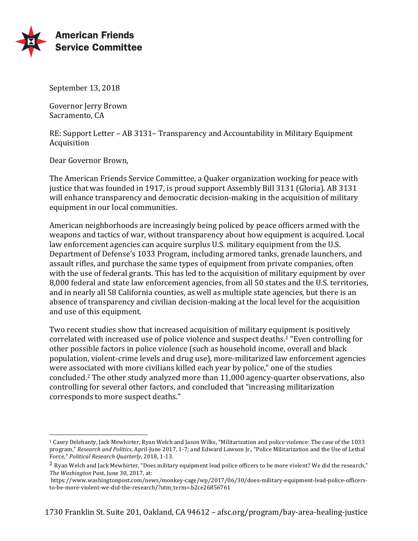

September 13, 2018

Governor Jerry Brown Sacramento, CA

RE: Support Letter – AB 3131– Transparency and Accountability in Military Equipment Acquisition 

Dear Governor Brown,

 

The American Friends Service Committee, a Quaker organization working for peace with justice that was founded in 1917, is proud support Assembly Bill 3131 (Gloria). AB 3131 will enhance transparency and democratic decision-making in the acquisition of military equipment in our local communities.

American neighborhoods are increasingly being policed by peace officers armed with the weapons and tactics of war, without transparency about how equipment is acquired. Local law enforcement agencies can acquire surplus U.S. military equipment from the U.S. Department of Defense's 1033 Program, including armored tanks, grenade launchers, and assault rifles, and purchase the same types of equipment from private companies, often with the use of federal grants. This has led to the acquisition of military equipment by over 8,000 federal and state law enforcement agencies, from all 50 states and the U.S. territories, and in nearly all 58 California counties, as well as multiple state agencies, but there is an absence of transparency and civilian decision-making at the local level for the acquisition and use of this equipment.

Two recent studies show that increased acquisition of military equipment is positively correlated with increased use of police violence and suspect deaths.<sup>1</sup> "Even controlling for other possible factors in police violence (such as household income, overall and black population, violent-crime levels and drug use), more-militarized law enforcement agencies were associated with more civilians killed each year by police," one of the studies concluded.<sup>2</sup> The other study analyzed more than 11,000 agency-quarter observations, also controlling for several other factors, and concluded that "increasing militarization corresponds to more suspect deaths."

<sup>&</sup>lt;sup>1</sup> Casey Delehanty, Jack Mewhirter, Ryan Welch and Jason Wilks, "Militarization and police violence: The case of the 1033 program," Research and Politics, April-June 2017, 1-7; and Edward Lawson Jr., "Police Militarization and the Use of Lethal Force," Political Research Quarterly, 2018, 1-13.

 $2$  Ryan Welch and Jack Mewhirter, "Does military equipment lead police officers to be more violent? We did the research," *The Washington* Post, June 30, 2017, at:

https://www.washingtonpost.com/news/monkey-cage/wp/2017/06/30/does-military-equipment-lead-police-officersto-be-more-violent-we-did-the-research/?utm\_term=.b2ce26856761